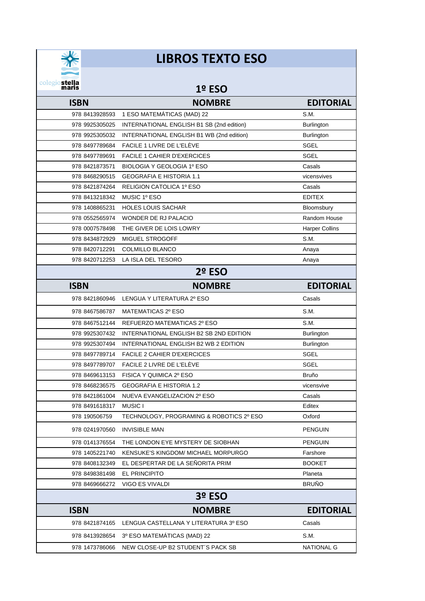

## **LIBROS TEXTO ESO**

## **1º ESO**

| <b>ISBN</b>    | <b>NOMBRE</b>                             | <b>EDITORIAL</b>      |
|----------------|-------------------------------------------|-----------------------|
| 978 8413928593 | 1 ESO MATEMÁTICAS (MAD) 22                | S.M.                  |
| 978 9925305025 | INTERNATIONAL ENGLISH B1 SB (2nd edition) | Burlington            |
| 978 9925305032 | INTERNATIONAL ENGLISH B1 WB (2nd edition) | Burlington            |
| 978 8497789684 | FACILE 1 LIVRE DE L'ELÈVE                 | <b>SGEL</b>           |
| 978 8497789691 | <b>FACILE 1 CAHIER D'EXERCICES</b>        | <b>SGEL</b>           |
| 978 8421873571 | BIOLOGIA Y GEOLOGIA 1º ESO                | Casals                |
| 978 8468290515 | <b>GEOGRAFIA E HISTORIA 1.1</b>           | vicensvives           |
| 978 8421874264 | RELIGION CATOLICA 1º ESO                  | Casals                |
| 978 8413218342 | MUSIC 1º ESO                              | <b>EDITEX</b>         |
| 978 1408865231 | <b>HOLES LOUIS SACHAR</b>                 | Bloomsbury            |
| 978 0552565974 | WONDER DE RJ PALACIO                      | Random House          |
| 978 0007578498 | THE GIVER DE LOIS LOWRY                   | <b>Harper Collins</b> |
| 978 8434872929 | MIGUEL STROGOFF                           | S.M.                  |
| 978 8420712291 | <b>COLMILLO BLANCO</b>                    | Anaya                 |
| 978 8420712253 | LA ISLA DEL TESORO                        | Anaya                 |
|                | <b>2º ESO</b>                             |                       |
| <b>ISBN</b>    | <b>NOMBRE</b>                             | <b>EDITORIAL</b>      |
|                | 978 8421860946 LENGUA Y LITERATURA 2º ESO | Casals                |
| 978 8467586787 | MATEMATICAS 2º ESO                        | S.M.                  |
| 978 8467512144 | REFUERZO MATEMATICAS 2º ESO               | S.M.                  |
| 978 9925307432 | INTERNATIONAL ENGLISH B2 SB 2ND EDITION   | <b>Burlington</b>     |
| 978 9925307494 | INTERNATIONAL ENGLISH B2 WB 2 EDITION     | <b>Burlington</b>     |
| 978 8497789714 | <b>FACILE 2 CAHIER D'EXERCICES</b>        | SGEL                  |
| 978 8497789707 | FACILE 2 LIVRE DE L'ELÈVE                 | SGEL                  |
| 978 8469613153 | FISICA Y QUIMICA 2º ESO                   | <b>Bruño</b>          |
| 978 8468236575 | <b>GEOGRAFIA E HISTORIA 1.2</b>           | vicensvive            |
| 978 8421861004 | NUEVA EVANGELIZACION 2º ESO               | Casals                |
| 978 8491618317 | <b>MUSIC I</b>                            | Editex                |
| 978 190506759  | TECHNOLOGY, PROGRAMING & ROBOTICS 2º ESO  | Oxford                |
| 978 0241970560 | <b>INVISIBLE MAN</b>                      | <b>PENGUIN</b>        |
| 978 0141376554 | THE LONDON EYE MYSTERY DE SIOBHAN         | <b>PENGUIN</b>        |
| 978 1405221740 | KENSUKE'S KINGDOM/ MICHAEL MORPURGO       | Farshore              |
| 978 8408132349 | EL DESPERTAR DE LA SEÑORITA PRIM          | <b>BOOKET</b>         |
| 978 8498381498 | <b>EL PRINCIPITO</b>                      | Planeta               |
| 978 8469666272 | VIGO ES VIVALDI                           | <b>BRUÑO</b>          |
|                | 3º ESO                                    |                       |
| <b>ISBN</b>    | <b>NOMBRE</b>                             | <b>EDITORIAL</b>      |
| 978 8421874165 | LENGUA CASTELLANA Y LITERATURA 3º ESO     | Casals                |
| 978 8413928654 | 3º ESO MATEMÁTICAS (MAD) 22               | S.M.                  |
| 978 1473786066 | NEW CLOSE-UP B2 STUDENT'S PACK SB         | <b>NATIONAL G</b>     |